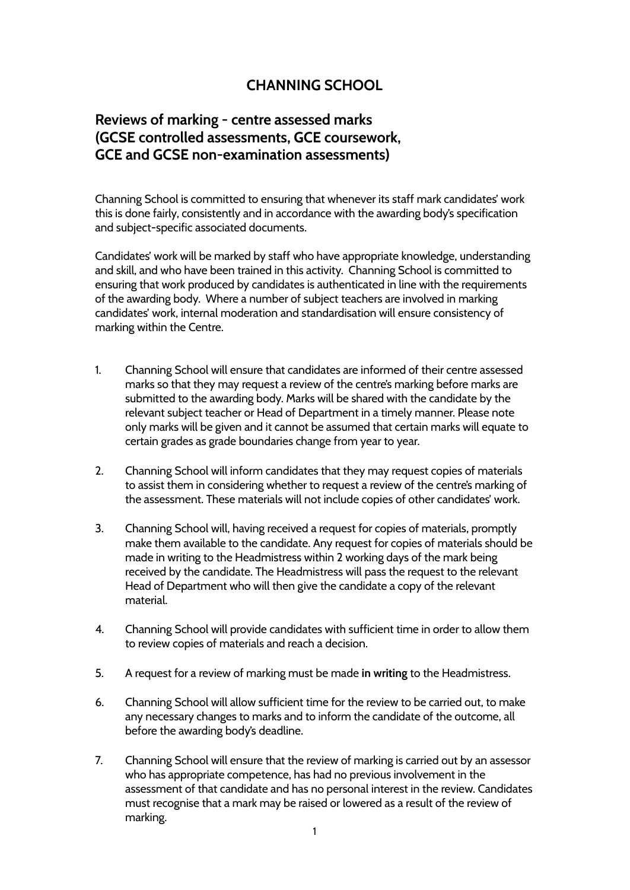## **CHANNING SCHOOL**

## **Reviews of marking - centre assessed marks (GCSE controlled assessments, GCE coursework, GCE and GCSE non-examination assessments)**

Channing School is committed to ensuring that whenever its staff mark candidates' work this is done fairly, consistently and in accordance with the awarding body's specification and subject-specific associated documents.

Candidates' work will be marked by staff who have appropriate knowledge, understanding and skill, and who have been trained in this activity. Channing School is committed to ensuring that work produced by candidates is authenticated in line with the requirements of the awarding body. Where a number of subject teachers are involved in marking candidates' work, internal moderation and standardisation will ensure consistency of marking within the Centre.

- 1. Channing School will ensure that candidates are informed of their centre assessed marks so that they may request a review of the centre's marking before marks are submitted to the awarding body. Marks will be shared with the candidate by the relevant subject teacher or Head of Department in a timely manner. Please note only marks will be given and it cannot be assumed that certain marks will equate to certain grades as grade boundaries change from year to year.
- 2. Channing School will inform candidates that they may request copies of materials to assist them in considering whether to request a review of the centre's marking of the assessment. These materials will not include copies of other candidates' work.
- 3. Channing School will, having received a request for copies of materials, promptly make them available to the candidate. Any request for copies of materials should be made in writing to the Headmistress within 2 working days of the mark being received by the candidate. The Headmistress will pass the request to the relevant Head of Department who will then give the candidate a copy of the relevant material.
- 4. Channing School will provide candidates with sufficient time in order to allow them to review copies of materials and reach a decision.
- 5. A request for a review of marking must be made **in writing** to the Headmistress.
- 6. Channing School will allow sufficient time for the review to be carried out, to make any necessary changes to marks and to inform the candidate of the outcome, all before the awarding body's deadline.
- 7. Channing School will ensure that the review of marking is carried out by an assessor who has appropriate competence, has had no previous involvement in the assessment of that candidate and has no personal interest in the review. Candidates must recognise that a mark may be raised or lowered as a result of the review of marking.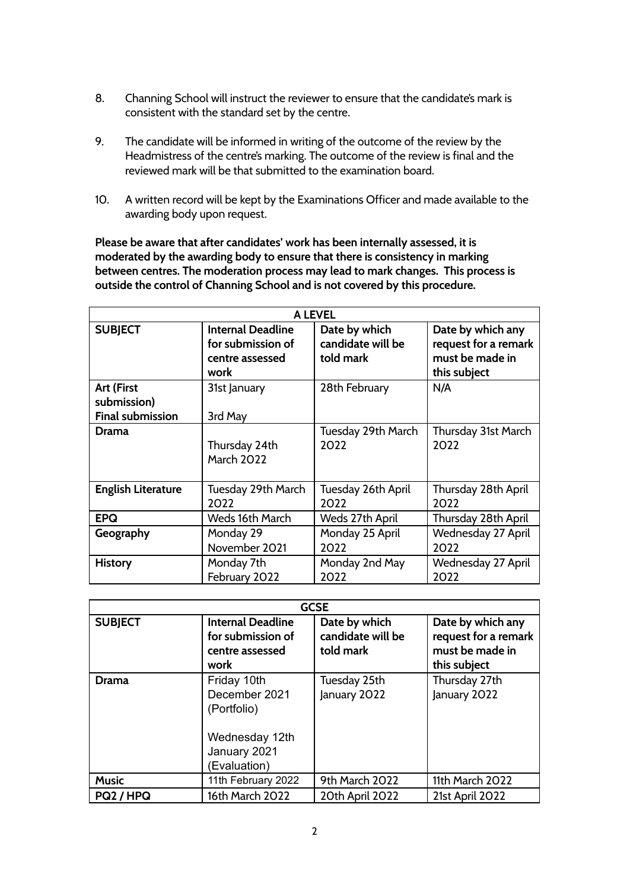- 8. Channing School will instruct the reviewer to ensure that the candidate's mark is consistent with the standard set by the centre.
- 9. The candidate will be informed in writing of the outcome of the review by the Headmistress of the centre's marking. The outcome of the review is final and the reviewed mark will be that submitted to the examination board.
- 10. A written record will be kept by the Examinations Officer and made available to the awarding body upon request.

**Please be aware that after candidates' work has been internally assessed, it is moderated by the awarding body to ensure that there is consistency in marking between centres. The moderation process may lead to mark changes. This process is outside the control of Channing School and is not covered by this procedure.**

| <b>A LEVEL</b>                                       |                                                                          |                                                 |                                                                              |  |  |
|------------------------------------------------------|--------------------------------------------------------------------------|-------------------------------------------------|------------------------------------------------------------------------------|--|--|
| <b>SUBJECT</b>                                       | <b>Internal Deadline</b><br>for submission of<br>centre assessed<br>work | Date by which<br>candidate will be<br>told mark | Date by which any<br>request for a remark<br>must be made in<br>this subject |  |  |
| Art (First<br>submission)<br><b>Final submission</b> | 31st January<br>3rd May                                                  | 28th February                                   | N/A                                                                          |  |  |
| Drama                                                | Thursday 24th                                                            | Tuesday 29th March                              | Thursday 31st March                                                          |  |  |
|                                                      | <b>March 2022</b>                                                        | 2022                                            | 2022                                                                         |  |  |
| <b>English Literature</b>                            | Tuesday 29th March                                                       | Tuesday 26th April                              | Thursday 28th April                                                          |  |  |
|                                                      | 2022                                                                     | 2022                                            | 2022                                                                         |  |  |
| <b>EPQ</b>                                           | Weds 16th March                                                          | Weds 27th April                                 | Thursday 28th April                                                          |  |  |
| Geography                                            | Monday 29                                                                | Monday 25 April                                 | Wednesday 27 April                                                           |  |  |
|                                                      | November 2021                                                            | 2022                                            | 2022                                                                         |  |  |
| <b>History</b>                                       | Monday 7th                                                               | Monday 2nd May                                  | Wednesday 27 April                                                           |  |  |
|                                                      | February 2022                                                            | 2022                                            | 2022                                                                         |  |  |

| <b>GCSE</b>    |                                                                                               |                                                 |                                                                              |  |  |
|----------------|-----------------------------------------------------------------------------------------------|-------------------------------------------------|------------------------------------------------------------------------------|--|--|
| <b>SUBJECT</b> | <b>Internal Deadline</b><br>for submission of<br>centre assessed<br>work                      | Date by which<br>candidate will be<br>told mark | Date by which any<br>request for a remark<br>must be made in<br>this subject |  |  |
| Drama          | Friday 10th<br>December 2021<br>(Portfolio)<br>Wednesday 12th<br>January 2021<br>(Evaluation) | Tuesday 25th<br>January 2022                    | Thursday 27th<br>January 2022                                                |  |  |
| <b>Music</b>   | 11th February 2022                                                                            | 9th March 2022                                  | 11th March 2022                                                              |  |  |
| PQ2 / HPQ      | 16th March 2022                                                                               | 20th April 2022                                 | 21st April 2022                                                              |  |  |